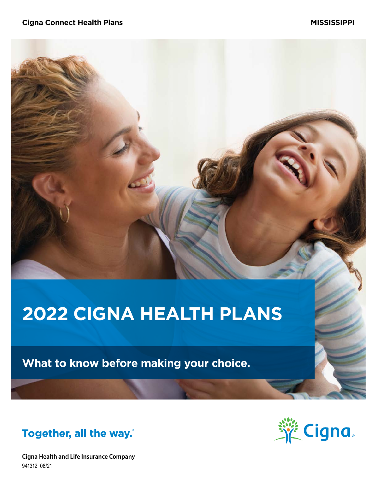# **2022 CIGNA HEALTH PLANS**

**What to know before making your choice.**



**Cigna Health and Life Insurance Company** 941312 08/21

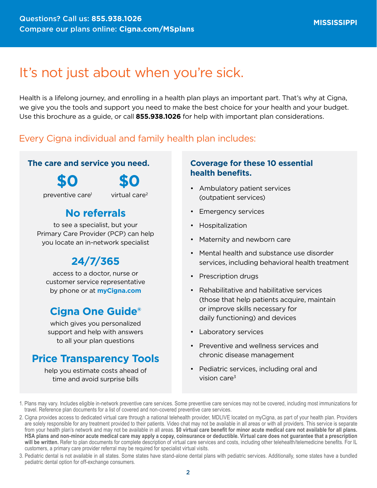# It's not just about when you're sick.

Health is a lifelong journey, and enrolling in a health plan plays an important part. That's why at Cigna, we give you the tools and support you need to make the best choice for your health and your budget. Use this brochure as a guide, or call **855.938.1026** for help with important plan considerations.

### Every Cigna individual and family health plan includes:

### **The care and service you need.**

**\$0**

**\$0**

preventive care1

virtual care2

### **No referrals**

to see a specialist, but your Primary Care Provider (PCP) can help you locate an in-network specialist

### **24/7/365**

access to a doctor, nurse or customer service representative by phone or at **[myCigna.com](http://myCigna.com)**

### **Cigna One Guide®**

which gives you personalized support and help with answers to all your plan questions

### **Price Transparency Tools**

help you estimate costs ahead of time and avoid surprise bills

### **Coverage for these 10 essential health benefits.**

- Ambulatory patient services (outpatient services)
- Emergency services
- Hospitalization
- Maternity and newborn care
- Mental health and substance use disorder services, including behavioral health treatment
- Prescription drugs
- Rehabilitative and habilitative services (those that help patients acquire, maintain or improve skills necessary for daily functioning) and devices
- Laboratory services
- Preventive and wellness services and chronic disease management
- Pediatric services, including oral and vision care $3$

3. Pediatric dental is not available in all states. Some states have stand-alone dental plans with pediatric services. Additionally, some states have a bundled pediatric dental option for off-exchange consumers.

<sup>1.</sup> Plans may vary. Includes eligible in-network preventive care services. Some preventive care services may not be covered, including most immunizations for travel. Reference plan documents for a list of covered and non-covered preventive care services.

<sup>2.</sup> Cigna provides access to dedicated virtual care through a national telehealth provider, MDLIVE located on myCigna, as part of your health plan. Providers are solely responsible for any treatment provided to their patients. Video chat may not be available in all areas or with all providers. This service is separate from your health plan's network and may not be available in all areas. **\$0 virtual care benefit for minor acute medical care not available for all plans. HSA plans and non-minor acute medical care may apply a copay, coinsurance or deductible. Virtual care does not guarantee that a prescription will be written.** Refer to plan documents for complete description of virtual care services and costs, including other telehealth/telemedicine benefits. For IL customers, a primary care provider referral may be required for specialist virtual visits.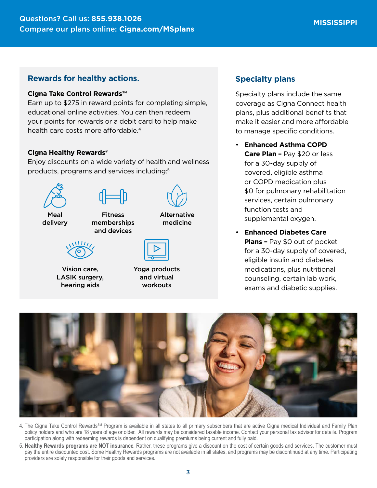#### **Rewards for healthy actions.**

#### **Cigna Take Control Rewards℠**

Earn up to \$275 in reward points for completing simple, educational online activities. You can then redeem your points for rewards or a debit card to help make health care costs more affordable.<sup>4</sup>

#### **Cigna Healthy Rewards®**

Enjoy discounts on a wide variety of health and wellness products, programs and services including:5



Vision care, LASIK surgery, hearing aids

| Yoga products |
|---------------|
| and virtual   |
| workouts      |

#### **Specialty plans**

Specialty plans include the same coverage as Cigna Connect health plans, plus additional benefits that make it easier and more affordable to manage specific conditions.

- **Enhanced Asthma COPD Care Plan –** Pay \$20 or less for a 30-day supply of covered, eligible asthma or COPD medication plus \$0 for pulmonary rehabilitation services, certain pulmonary function tests and supplemental oxygen.
- **Enhanced Diabetes Care Plans –** Pay \$0 out of pocket for a 30-day supply of covered, eligible insulin and diabetes medications, plus nutritional counseling, certain lab work, exams and diabetic supplies.



- 4. The Cigna Take Control Rewards<sup>SM</sup> Program is available in all states to all primary subscribers that are active Cigna medical Individual and Family Plan policy holders and who are 18 years of age or older. All rewards may be considered taxable income. Contact your personal tax advisor for details. Program participation along with redeeming rewards is dependent on qualifying premiums being current and fully paid.
- 5. **Healthy Rewards programs are NOT insurance**. Rather, these programs give a discount on the cost of certain goods and services. The customer must pay the entire discounted cost. Some Healthy Rewards programs are not available in all states, and programs may be discontinued at any time. Participating providers are solely responsible for their goods and services.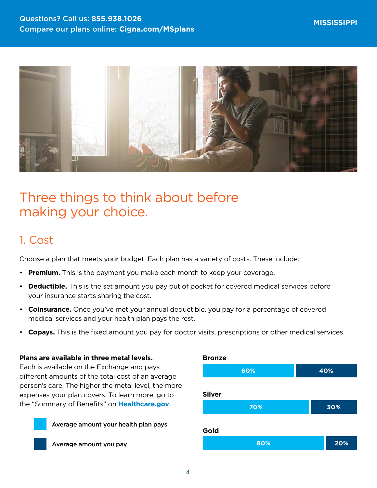

# Three things to think about before making your choice.

### 1. Cost

Choose a plan that meets your budget. Each plan has a variety of costs. These include:

- **Premium.** This is the payment you make each month to keep your coverage.
- **Deductible.** This is the set amount you pay out of pocket for covered medical services before your insurance starts sharing the cost.
- **Coinsurance.** Once you've met your annual deductible, you pay for a percentage of covered medical services and your health plan pays the rest.
- **Copays.** This is the fixed amount you pay for doctor visits, prescriptions or other medical services.

#### **Plans are available in three metal levels.**

Each is available on the Exchange and pays different amounts of the total cost of an average person's care. The higher the metal level, the more expenses your plan covers. To learn more, go to the "Summary of Benefits" on **[Healthcare.gov](http://Healthcare.gov)**.





Average amount you pay

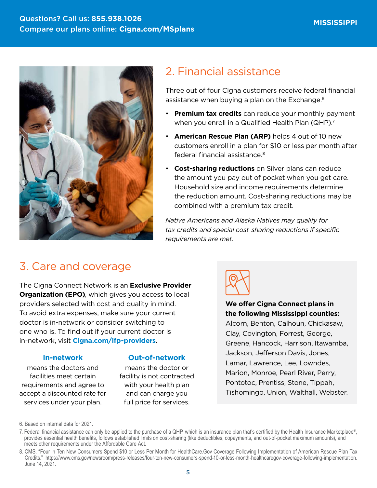

### 2. Financial assistance

Three out of four Cigna customers receive federal financial assistance when buying a plan on the Exchange.<sup>6</sup>

- **Premium tax credits** can reduce your monthly payment when you enroll in a Qualified Health Plan (QHP).<sup>7</sup>
- **American Rescue Plan (ARP)** helps 4 out of 10 new customers enroll in a plan for \$10 or less per month after federal financial assistance.8
- **Cost-sharing reductions** on Silver plans can reduce the amount you pay out of pocket when you get care. Household size and income requirements determine the reduction amount. Cost-sharing reductions may be combined with a premium tax credit.

*Native Americans and Alaska Natives may qualify for tax credits and special cost-sharing reductions if specific requirements are met.*

### 3. Care and coverage

The Cigna Connect Network is an **Exclusive Provider Organization (EPO)**, which gives you access to local providers selected with cost and quality in mind. To avoid extra expenses, make sure your current doctor is in-network or consider switching to one who is. To find out if your current doctor is in-network, visit **[Cigna.com/ifp-providers](https://www.Cigna.com/ifp-providers)**.

#### **In-network**

means the doctors and facilities meet certain requirements and agree to accept a discounted rate for services under your plan.

#### **Out-of-network**

means the doctor or facility is not contracted with your health plan and can charge you full price for services.



**We offer Cigna Connect plans in the following Mississippi counties:**  Alcorn, Benton, Calhoun, Chickasaw, Clay, Covington, Forrest, George, Greene, Hancock, Harrison, Itawamba, Jackson, Jefferson Davis, Jones, Lamar, Lawrence, Lee, Lowndes, Marion, Monroe, Pearl River, Perry, Pontotoc, Prentiss, Stone, Tippah, Tishomingo, Union, Walthall, Webster.

6. Based on internal data for 2021.

<sup>7.</sup> Federal financial assistance can only be applied to the purchase of a QHP, which is an insurance plan that's certified by the Health Insurance Marketplace®, provides essential health benefits, follows established limits on cost-sharing (like deductibles, copayments, and out-of-pocket maximum amounts), and meets other requirements under the Affordable Care Act.

<sup>8.</sup> CMS. "Four in Ten New Consumers Spend \$10 or Less Per Month for HealthCare.Gov Coverage Following Implementation of American Rescue Plan Tax Credits." <https://www.cms.gov/newsroom/press-releases/four-ten-new-consumers-spend-10-or-less-month-healthcaregov-coverage-following-implementation>. June 14, 2021.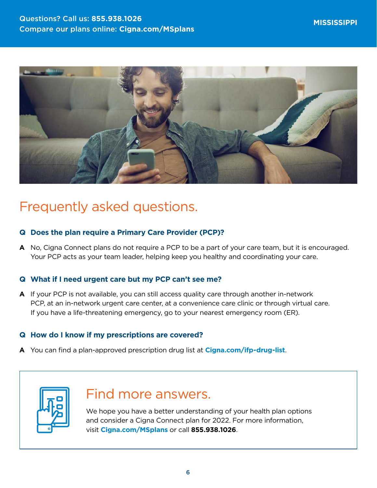

# Frequently asked questions.

### **Q Does the plan require a Primary Care Provider (PCP)?**

**A** No, Cigna Connect plans do not require a PCP to be a part of your care team, but it is encouraged. Your PCP acts as your team leader, helping keep you healthy and coordinating your care.

### **Q What if I need urgent care but my PCP can't see me?**

**A** If your PCP is not available, you can still access quality care through another in-network PCP, at an in-network urgent care center, at a convenience care clinic or through virtual care. If you have a life-threatening emergency, go to your nearest emergency room (ER).

### **Q How do I know if my prescriptions are covered?**

**A** You can find a plan-approved prescription drug list at **[Cigna.com/ifp-drug-list](http://Cigna.com/ifp-drug-list)**.



## Find more answers.

We hope you have a better understanding of your health plan options and consider a Cigna Connect plan for 2022. For more information, visit **[Cigna.com/MSplans](http://Cigna.com/MSplans)** or call **855.938.1026**.